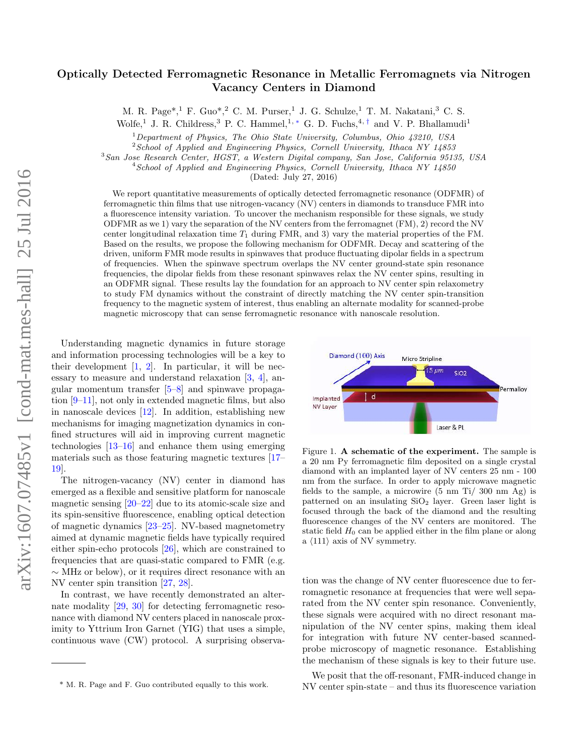# Optically Detected Ferromagnetic Resonance in Metallic Ferromagnets via Nitrogen Vacancy Centers in Diamond

M. R. Page\*, <sup>1</sup> F. Guo\*, <sup>2</sup> C. M. Purser, <sup>1</sup> J. G. Schulze, <sup>1</sup> T. M. Nakatani, <sup>3</sup> C. S.

Wolfe,<sup>1</sup> J. R. Childress,<sup>3</sup> P. C. Hammel,<sup>1,\*</sup> G. D. Fuchs,<sup>4,†</sup> and V. P. Bhallamudi<sup>1</sup>

 $1$ Department of Physics, The Ohio State University, Columbus, Ohio 43210, USA

 $2$ School of Applied and Engineering Physics, Cornell University, Ithaca NY 14853

<sup>3</sup>San Jose Research Center, HGST, a Western Digital company, San Jose, California 95135, USA

<sup>4</sup> School of Applied and Engineering Physics, Cornell University, Ithaca NY 14850

(Dated: July 27, 2016)

We report quantitative measurements of optically detected ferromagnetic resonance (ODFMR) of ferromagnetic thin films that use nitrogen-vacancy (NV) centers in diamonds to transduce FMR into a fluorescence intensity variation. To uncover the mechanism responsible for these signals, we study ODFMR as we 1) vary the separation of the NV centers from the ferromagnet (FM), 2) record the NV center longitudinal relaxation time  $T_1$  during FMR, and 3) vary the material properties of the FM. Based on the results, we propose the following mechanism for ODFMR. Decay and scattering of the driven, uniform FMR mode results in spinwaves that produce fluctuating dipolar fields in a spectrum of frequencies. When the spinwave spectrum overlaps the NV center ground-state spin resonance frequencies, the dipolar fields from these resonant spinwaves relax the NV center spins, resulting in an ODFMR signal. These results lay the foundation for an approach to NV center spin relaxometry to study FM dynamics without the constraint of directly matching the NV center spin-transition frequency to the magnetic system of interest, thus enabling an alternate modality for scanned-probe magnetic microscopy that can sense ferromagnetic resonance with nanoscale resolution.

Understanding magnetic dynamics in future storage and information processing technologies will be a key to their development  $\left[1, 2\right]$ . In particular, it will be necessary to measure and understand relaxation [3, 4], angular momentum transfer  $[5-8]$  and spinwave propagation [9–11], not only in extended magnetic films, but also in nanoscale devices [12]. In addition, establishing new mechanisms for imaging magnetization dynamics in confined structures will aid in improving current magnetic technologies [13–16] and enhance them using emerging materials such as those featuring magnetic textures [17– 19].

The nitrogen-vacancy (NV) center in diamond has emerged as a flexible and sensitive platform for nanoscale magnetic sensing  $[20-22]$  due to its atomic-scale size and its spin-sensitive fluorescence, enabling optical detection of magnetic dynamics [23–25]. NV-based magnetometry aimed at dynamic magnetic fields have typically required either spin-echo protocols [26], which are constrained to frequencies that are quasi-static compared to FMR (e.g. ∼ MHz or below), or it requires direct resonance with an NV center spin transition [27, 28].

In contrast, we have recently demonstrated an alternate modality [29, 30] for detecting ferromagnetic resonance with diamond NV centers placed in nanoscale proximity to Yttrium Iron Garnet (YIG) that uses a simple, continuous wave (CW) protocol. A surprising observa-



Figure 1. A schematic of the experiment. The sample is a 20 nm Py ferromagnetic film deposited on a single crystal diamond with an implanted layer of NV centers 25 nm - 100 nm from the surface. In order to apply microwave magnetic fields to the sample, a microwire (5 nm Ti/ 300 nm Ag) is patterned on an insulating  $SiO<sub>2</sub>$  layer. Green laser light is focused through the back of the diamond and the resulting fluorescence changes of the NV centers are monitored. The static field  $H_0$  can be applied either in the film plane or along a  $\langle 111 \rangle$  axis of NV symmetry.

tion was the change of NV center fluorescence due to ferromagnetic resonance at frequencies that were well separated from the NV center spin resonance. Conveniently, these signals were acquired with no direct resonant manipulation of the NV center spins, making them ideal for integration with future NV center-based scannedprobe microscopy of magnetic resonance. Establishing the mechanism of these signals is key to their future use.

We posit that the off-resonant, FMR-induced change in NV center spin-state – and thus its fluorescence variation

<sup>\*</sup> M. R. Page and F. Guo contributed equally to this work.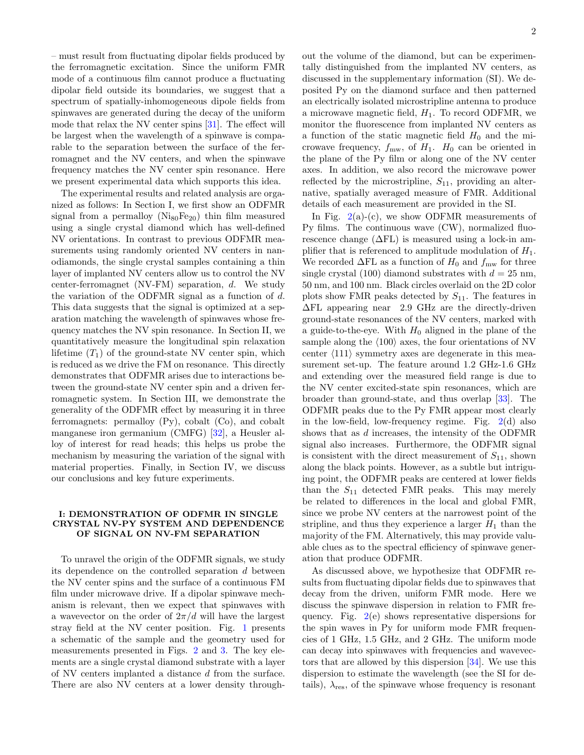– must result from fluctuating dipolar fields produced by the ferromagnetic excitation. Since the uniform FMR mode of a continuous film cannot produce a fluctuating dipolar field outside its boundaries, we suggest that a spectrum of spatially-inhomogeneous dipole fields from spinwaves are generated during the decay of the uniform mode that relax the NV center spins [31]. The effect will be largest when the wavelength of a spinwave is comparable to the separation between the surface of the ferromagnet and the NV centers, and when the spinwave frequency matches the NV center spin resonance. Here we present experimental data which supports this idea.

The experimental results and related analysis are organized as follows: In Section I, we first show an ODFMR signal from a permalloy  $(Ni_{80}Fe_{20})$  thin film measured using a single crystal diamond which has well-defined NV orientations. In contrast to previous ODFMR measurements using randomly oriented NV centers in nanodiamonds, the single crystal samples containing a thin layer of implanted NV centers allow us to control the NV center-ferromagnet (NV-FM) separation, d. We study the variation of the ODFMR signal as a function of d. This data suggests that the signal is optimized at a separation matching the wavelength of spinwaves whose frequency matches the NV spin resonance. In Section II, we quantitatively measure the longitudinal spin relaxation lifetime  $(T_1)$  of the ground-state NV center spin, which is reduced as we drive the FM on resonance. This directly demonstrates that ODFMR arises due to interactions between the ground-state NV center spin and a driven ferromagnetic system. In Section III, we demonstrate the generality of the ODFMR effect by measuring it in three ferromagnets: permalloy (Py), cobalt (Co), and cobalt manganese iron germanium (CMFG) [32], a Heusler alloy of interest for read heads; this helps us probe the mechanism by measuring the variation of the signal with material properties. Finally, in Section IV, we discuss our conclusions and key future experiments.

## I: DEMONSTRATION OF ODFMR IN SINGLE CRYSTAL NV-PY SYSTEM AND DEPENDENCE OF SIGNAL ON NV-FM SEPARATION

To unravel the origin of the ODFMR signals, we study its dependence on the controlled separation d between the NV center spins and the surface of a continuous FM film under microwave drive. If a dipolar spinwave mechanism is relevant, then we expect that spinwaves with a wavevector on the order of  $2\pi/d$  will have the largest stray field at the NV center position. Fig. 1 presents a schematic of the sample and the geometry used for measurements presented in Figs. 2 and 3. The key elements are a single crystal diamond substrate with a layer of NV centers implanted a distance d from the surface. There are also NV centers at a lower density throughout the volume of the diamond, but can be experimentally distinguished from the implanted NV centers, as discussed in the supplementary information (SI). We deposited Py on the diamond surface and then patterned an electrically isolated microstripline antenna to produce a microwave magnetic field,  $H_1$ . To record ODFMR, we monitor the fluorescence from implanted NV centers as a function of the static magnetic field  $H_0$  and the microwave frequency,  $f_{\text{mw}}$ , of  $H_1$ .  $H_0$  can be oriented in the plane of the Py film or along one of the NV center axes. In addition, we also record the microwave power reflected by the microstripline,  $S_{11}$ , providing an alternative, spatially averaged measure of FMR. Additional details of each measurement are provided in the SI.

In Fig.  $2(a)-(c)$ , we show ODFMR measurements of Py films. The continuous wave (CW), normalized fluorescence change  $(\Delta FL)$  is measured using a lock-in amplifier that is referenced to amplitude modulation of  $H_1$ . We recorded  $\Delta FL$  as a function of  $H_0$  and  $f_{\text{mw}}$  for three single crystal (100) diamond substrates with  $d = 25$  nm, 50 nm, and 100 nm. Black circles overlaid on the 2D color plots show FMR peaks detected by  $S_{11}$ . The features in ∆FL appearing near 2.9 GHz are the directly-driven ground-state resonances of the NV centers, marked with a guide-to-the-eye. With  $H_0$  aligned in the plane of the sample along the  $\langle 100 \rangle$  axes, the four orientations of NV center  $\langle 111 \rangle$  symmetry axes are degenerate in this measurement set-up. The feature around 1.2 GHz-1.6 GHz and extending over the measured field range is due to the NV center excited-state spin resonances, which are broader than ground-state, and thus overlap [33]. The ODFMR peaks due to the Py FMR appear most clearly in the low-field, low-frequency regime. Fig.  $2(d)$  also shows that as d increases, the intensity of the ODFMR signal also increases. Furthermore, the ODFMR signal is consistent with the direct measurement of  $S_{11}$ , shown along the black points. However, as a subtle but intriguing point, the ODFMR peaks are centered at lower fields than the  $S_{11}$  detected FMR peaks. This may merely be related to differences in the local and global FMR, since we probe NV centers at the narrowest point of the stripline, and thus they experience a larger  $H_1$  than the majority of the FM. Alternatively, this may provide valuable clues as to the spectral efficiency of spinwave generation that produce ODFMR.

As discussed above, we hypothesize that ODFMR results from fluctuating dipolar fields due to spinwaves that decay from the driven, uniform FMR mode. Here we discuss the spinwave dispersion in relation to FMR frequency. Fig. 2(e) shows representative dispersions for the spin waves in Py for uniform mode FMR frequencies of 1 GHz, 1.5 GHz, and 2 GHz. The uniform mode can decay into spinwaves with frequencies and wavevectors that are allowed by this dispersion [34]. We use this dispersion to estimate the wavelength (see the SI for details),  $\lambda_{res}$ , of the spinwave whose frequency is resonant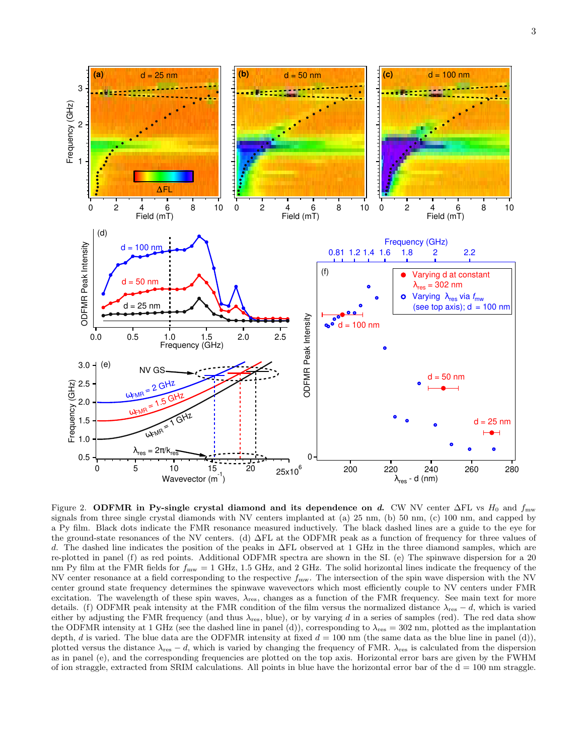

Figure 2. ODFMR in Py-single crystal diamond and its dependence on d. CW NV center  $\Delta FL$  vs  $H_0$  and  $f_{\text{mw}}$ signals from three single crystal diamonds with NV centers implanted at (a) 25 nm, (b) 50 nm, (c) 100 nm, and capped by a Py film. Black dots indicate the FMR resonance measured inductively. The black dashed lines are a guide to the eye for the ground-state resonances of the NV centers. (d) ∆FL at the ODFMR peak as a function of frequency for three values of d. The dashed line indicates the position of the peaks in  $\Delta FL$  observed at 1 GHz in the three diamond samples, which are re-plotted in panel (f) as red points. Additional ODFMR spectra are shown in the SI. (e) The spinwave dispersion for a 20 nm Py film at the FMR fields for  $f_{\text{mw}} = 1$  GHz, 1.5 GHz, and 2 GHz. The solid horizontal lines indicate the frequency of the NV center resonance at a field corresponding to the respective  $f_{\text{mw}}$ . The intersection of the spin wave dispersion with the NV center ground state frequency determines the spinwave wavevectors which most efficiently couple to NV centers under FMR excitation. The wavelength of these spin waves,  $\lambda_{res}$ , changes as a function of the FMR frequency. See main text for more details. (f) ODFMR peak intensity at the FMR condition of the film versus the normalized distance  $\lambda_{res} - d$ , which is varied either by adjusting the FMR frequency (and thus  $\lambda_{\rm res}$ , blue), or by varying d in a series of samples (red). The red data show the ODFMR intensity at 1 GHz (see the dashed line in panel (d)), corresponding to  $\lambda_{\text{res}} = 302$  nm, plotted as the implantation depth, d is varied. The blue data are the ODFMR intensity at fixed  $d = 100$  nm (the same data as the blue line in panel (d)), plotted versus the distance  $\lambda_{res} - d$ , which is varied by changing the frequency of FMR.  $\lambda_{res}$  is calculated from the dispersion as in panel (e), and the corresponding frequencies are plotted on the top axis. Horizontal error bars are given by the FWHM of ion straggle, extracted from SRIM calculations. All points in blue have the horizontal error bar of the  $d = 100$  nm straggle.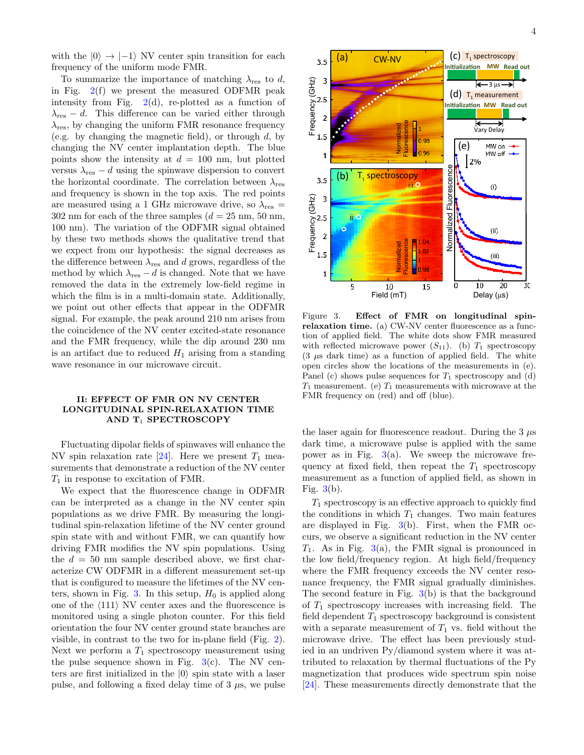with the  $|0\rangle \rightarrow |-1\rangle$  NV center spin transition for each frequency of the uniform mode FMR.

To summarize the importance of matching  $\lambda_{\text{res}}$  to d, in Fig.  $2(f)$  we present the measured ODFMR peak intensity from Fig.  $2(d)$ , re-plotted as a function of  $\lambda_{\text{res}} - d$ . This difference can be varied either through  $\lambda_{\text{res}}$ , by changing the uniform FMR resonance frequency (e.g. by changing the magnetic field), or through  $d$ , by changing the NV center implantation depth. The blue points show the intensity at  $d = 100$  nm, but plotted versus  $\lambda_{\text{res}} - d$  using the spinwave dispersion to convert the horizontal coordinate. The correlation between  $\lambda_{\text{res}}$ and frequency is shown in the top axis. The red points are measured using a 1 GHz microwave drive, so  $\lambda_{\text{res}} =$ 302 nm for each of the three samples  $(d = 25 \text{ nm}, 50 \text{ nm},$ 100 nm). The variation of the ODFMR signal obtained by these two methods shows the qualitative trend that we expect from our hypothesis: the signal decreases as the difference between  $\lambda_{\rm res}$  and  $d$  grows, regardless of the method by which  $\lambda_{\text{res}} - d$  is changed. Note that we have removed the data in the extremely low-field regime in which the film is in a multi-domain state. Additionally, we point out other effects that appear in the ODFMR signal. For example, the peak around 210 nm arises from the coincidence of the NV center excited-state resonance and the FMR frequency, while the dip around 230 nm is an artifact due to reduced  $H_1$  arising from a standing wave resonance in our microwave circuit.

#### II: EFFECT OF FMR ON NV CENTER LONGITUDINAL SPIN-RELAXATION TIME AND T<sub>1</sub> SPECTROSCOPY

Fluctuating dipolar fields of spinwaves will enhance the NV spin relaxation rate  $[24]$ . Here we present  $T_1$  measurements that demonstrate a reduction of the NV center  $T_1$  in response to excitation of FMR.

We expect that the fluorescence change in ODFMR can be interpreted as a change in the NV center spin populations as we drive FMR. By measuring the longitudinal spin-relaxation lifetime of the NV center ground spin state with and without FMR, we can quantify how driving FMR modifies the NV spin populations. Using the  $d = 50$  nm sample described above, we first characterize CW ODFMR in a different measurement set-up that is configured to measure the lifetimes of the NV centers, shown in Fig. 3. In this setup,  $H_0$  is applied along one of the  $\langle 111 \rangle$  NV center axes and the fluorescence is monitored using a single photon counter. For this field orientation the four NV center ground state branches are visible, in contrast to the two for in-plane field (Fig. 2). Next we perform a  $T_1$  spectroscopy measurement using the pulse sequence shown in Fig.  $3(c)$ . The NV centers are first initialized in the  $|0\rangle$  spin state with a laser pulse, and following a fixed delay time of  $3 \mu s$ , we pulse



Figure 3. Effect of FMR on longitudinal spinrelaxation time. (a) CW-NV center fluorescence as a function of applied field. The white dots show FMR measured with reflected microwave power  $(S_{11})$ . (b)  $T_1$  spectroscopy  $(3 \mu s \text{ dark time})$  as a function of applied field. The white open circles show the locations of the measurements in (e). Panel (c) shows pulse sequences for  $T_1$  spectroscopy and (d)  $T_1$  measurement. (e)  $T_1$  measurements with microwave at the FMR frequency on (red) and off (blue).

the laser again for fluorescence readout. During the 3  $\mu$ s dark time, a microwave pulse is applied with the same power as in Fig.  $3(a)$ . We sweep the microwave frequency at fixed field, then repeat the  $T_1$  spectroscopy measurement as a function of applied field, as shown in Fig.  $3(b)$ .

 $T_1$  spectroscopy is an effective approach to quickly find the conditions in which  $T_1$  changes. Two main features are displayed in Fig.  $3(b)$ . First, when the FMR occurs, we observe a significant reduction in the NV center  $T_1$ . As in Fig. 3(a), the FMR signal is pronounced in the low field/frequency region. At high field/frequency where the FMR frequency exceeds the NV center resonance frequency, the FMR signal gradually diminishes. The second feature in Fig. 3(b) is that the background of  $T_1$  spectroscopy increases with increasing field. The field dependent  $T_1$  spectroscopy background is consistent with a separate measurement of  $T_1$  vs. field without the microwave drive. The effect has been previously studied in an undriven Py/diamond system where it was attributed to relaxation by thermal fluctuations of the Py magnetization that produces wide spectrum spin noise [24]. These measurements directly demonstrate that the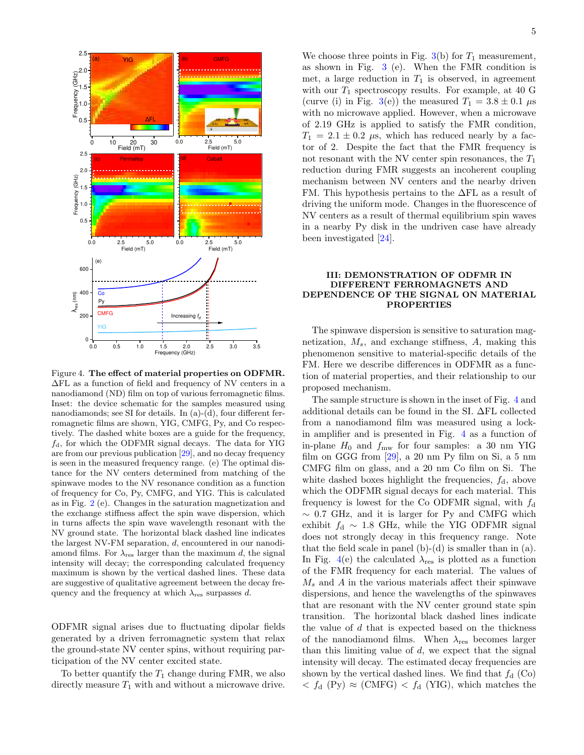

Figure 4. The effect of material properties on ODFMR. ∆FL as a function of field and frequency of NV centers in a nanodiamond (ND) film on top of various ferromagnetic films. Inset: the device schematic for the samples measured using nanodiamonds; see SI for details. In (a)-(d), four different ferromagnetic films are shown, YIG, CMFG, Py, and Co respectively. The dashed white boxes are a guide for the frequency,  $f_d$ , for which the ODFMR signal decays. The data for YIG are from our previous publication [29], and no decay frequency is seen in the measured frequency range. (e) The optimal distance for the NV centers determined from matching of the spinwave modes to the NV resonance condition as a function of frequency for Co, Py, CMFG, and YIG. This is calculated as in Fig. 2 (e). Changes in the saturation magnetization and the exchange stiffness affect the spin wave dispersion, which in turns affects the spin wave wavelength resonant with the NV ground state. The horizontal black dashed line indicates the largest NV-FM separation, d, encountered in our nanodiamond films. For  $\lambda_{\text{res}}$  larger than the maximum d, the signal intensity will decay; the corresponding calculated frequency maximum is shown by the vertical dashed lines. These data are suggestive of qualitative agreement between the decay frequency and the frequency at which  $\lambda_{\text{res}}$  surpasses d.

ODFMR signal arises due to fluctuating dipolar fields generated by a driven ferromagnetic system that relax the ground-state NV center spins, without requiring participation of the NV center excited state.

To better quantify the  $T_1$  change during FMR, we also directly measure  $T_1$  with and without a microwave drive.

We choose three points in Fig.  $3(b)$  for  $T_1$  measurement, as shown in Fig. 3 (e). When the FMR condition is met, a large reduction in  $T_1$  is observed, in agreement with our  $T_1$  spectroscopy results. For example, at 40 G (curve (i) in Fig. 3(e)) the measured  $T_1 = 3.8 \pm 0.1 \,\mu s$ with no microwave applied. However, when a microwave of 2.19 GHz is applied to satisfy the FMR condition,  $T_1 = 2.1 \pm 0.2$  µs, which has reduced nearly by a factor of 2. Despite the fact that the FMR frequency is not resonant with the NV center spin resonances, the  $T_1$ reduction during FMR suggests an incoherent coupling mechanism between NV centers and the nearby driven FM. This hypothesis pertains to the ∆FL as a result of driving the uniform mode. Changes in the fluorescence of NV centers as a result of thermal equilibrium spin waves in a nearby Py disk in the undriven case have already been investigated [24].

## III: DEMONSTRATION OF ODFMR IN DIFFERENT FERROMAGNETS AND DEPENDENCE OF THE SIGNAL ON MATERIAL PROPERTIES

The spinwave dispersion is sensitive to saturation magnetization,  $M_s$ , and exchange stiffness,  $A$ , making this phenomenon sensitive to material-specific details of the FM. Here we describe differences in ODFMR as a function of material properties, and their relationship to our proposed mechanism.

The sample structure is shown in the inset of Fig. 4 and additional details can be found in the SI. ∆FL collected from a nanodiamond film was measured using a lockin amplifier and is presented in Fig. 4 as a function of in-plane  $H_0$  and  $f_{\text{mw}}$  for four samples: a 30 nm YIG film on GGG from [29], a 20 nm Py film on Si, a 5 nm CMFG film on glass, and a 20 nm Co film on Si. The white dashed boxes highlight the frequencies,  $f_d$ , above which the ODFMR signal decays for each material. This frequency is lowest for the Co ODFMR signal, with  $f_d$  $\sim$  0.7 GHz, and it is larger for Py and CMFG which exhibit  $f_d \sim 1.8$  GHz, while the YIG ODFMR signal does not strongly decay in this frequency range. Note that the field scale in panel  $(b)-(d)$  is smaller than in  $(a)$ . In Fig. 4(e) the calculated  $\lambda_{\text{res}}$  is plotted as a function of the FMR frequency for each material. The values of  $M<sub>s</sub>$  and A in the various materials affect their spinwave dispersions, and hence the wavelengths of the spinwaves that are resonant with the NV center ground state spin transition. The horizontal black dashed lines indicate the value of  $d$  that is expected based on the thickness of the nanodiamond films. When  $\lambda_{\text{res}}$  becomes larger than this limiting value of  $d$ , we expect that the signal intensity will decay. The estimated decay frequencies are shown by the vertical dashed lines. We find that  $f_d$  (Co)  $\langle f_d \, (\text{Py}) \approx (\text{CMFG}) \langle f_d \, (\text{YIG}) \rangle$ , which matches the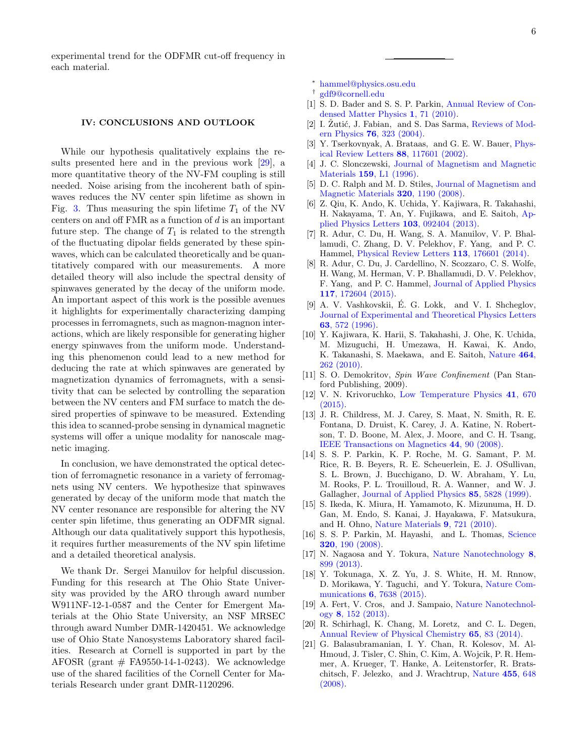experimental trend for the ODFMR cut-off frequency in each material.

#### IV: CONCLUSIONS AND OUTLOOK

While our hypothesis qualitatively explains the results presented here and in the previous work [29], a more quantitative theory of the NV-FM coupling is still needed. Noise arising from the incoherent bath of spinwaves reduces the NV center spin lifetime as shown in Fig. 3. Thus measuring the spin lifetime  $T_1$  of the NV centers on and off  $\text{FMR}$  as a function of d is an important future step. The change of  $T_1$  is related to the strength of the fluctuating dipolar fields generated by these spinwaves, which can be calculated theoretically and be quantitatively compared with our measurements. A more detailed theory will also include the spectral density of spinwaves generated by the decay of the uniform mode. An important aspect of this work is the possible avenues it highlights for experimentally characterizing damping processes in ferromagnets, such as magnon-magnon interactions, which are likely responsible for generating higher energy spinwaves from the uniform mode. Understanding this phenomenon could lead to a new method for deducing the rate at which spinwaves are generated by magnetization dynamics of ferromagnets, with a sensitivity that can be selected by controlling the separation between the NV centers and FM surface to match the desired properties of spinwave to be measured. Extending this idea to scanned-probe sensing in dynamical magnetic systems will offer a unique modality for nanoscale magnetic imaging.

In conclusion, we have demonstrated the optical detection of ferromagnetic resonance in a variety of ferromagnets using NV centers. We hypothesize that spinwaves generated by decay of the uniform mode that match the NV center resonance are responsible for altering the NV center spin lifetime, thus generating an ODFMR signal. Although our data qualitatively support this hypothesis, it requires further measurements of the NV spin lifetime and a detailed theoretical analysis.

We thank Dr. Sergei Manuilov for helpful discussion. Funding for this research at The Ohio State University was provided by the ARO through award number W911NF-12-1-0587 and the Center for Emergent Materials at the Ohio State University, an NSF MRSEC through award Number DMR-1420451. We acknowledge use of Ohio State Nanosystems Laboratory shared facilities. Research at Cornell is supported in part by the AFOSR (grant  $#$  FA9550-14-1-0243). We acknowledge use of the shared facilities of the Cornell Center for Materials Research under grant DMR-1120296.

<sup>∗</sup> hammel@physics.osu.edu

- † gdf9@cornell.edu
- [1] S. D. Bader and S. S. P. Parkin, Annual Review of Condensed Matter Physics 1, 71 (2010).
- [2] I. Žutić, J. Fabian, and S. Das Sarma, Reviews of Modern Physics 76, 323 (2004).
- [3] Y. Tserkovnyak, A. Brataas, and G. E. W. Bauer, *Phys*ical Review Letters 88, 117601 (2002).
- [4] J. C. Slonczewski, Journal of Magnetism and Magnetic Materials 159, L1 (1996).
- [5] D. C. Ralph and M. D. Stiles, Journal of Magnetism and Magnetic Materials 320, 1190 (2008).
- [6] Z. Qiu, K. Ando, K. Uchida, Y. Kajiwara, R. Takahashi, H. Nakayama, T. An, Y. Fujikawa, and E. Saitoh, Applied Physics Letters 103, 092404 (2013).
- [7] R. Adur, C. Du, H. Wang, S. A. Manuilov, V. P. Bhallamudi, C. Zhang, D. V. Pelekhov, F. Yang, and P. C. Hammel, Physical Review Letters 113, 176601 (2014).
- [8] R. Adur, C. Du, J. Cardellino, N. Scozzaro, C. S. Wolfe, H. Wang, M. Herman, V. P. Bhallamudi, D. V. Pelekhov, F. Yang, and P. C. Hammel, Journal of Applied Physics 117, 172604 (2015).
- [9] A. V. Vashkovskii, É. G. Lokk, and V. I. Shcheglov, Journal of Experimental and Theoretical Physics Letters 63, 572 (1996).
- [10] Y. Kajiwara, K. Harii, S. Takahashi, J. Ohe, K. Uchida, M. Mizuguchi, H. Umezawa, H. Kawai, K. Ando, K. Takanashi, S. Maekawa, and E. Saitoh, Nature 464, 262 (2010).
- [11] S. O. Demokritov, Spin Wave Confinement (Pan Stanford Publishing, 2009).
- [12] V. N. Krivoruchko, Low Temperature Physics 41, 670 (2015).
- [13] J. R. Childress, M. J. Carey, S. Maat, N. Smith, R. E. Fontana, D. Druist, K. Carey, J. A. Katine, N. Robertson, T. D. Boone, M. Alex, J. Moore, and C. H. Tsang, IEEE Transactions on Magnetics 44, 90 (2008).
- [14] S. S. P. Parkin, K. P. Roche, M. G. Samant, P. M. Rice, R. B. Beyers, R. E. Scheuerlein, E. J. OSullivan, S. L. Brown, J. Bucchigano, D. W. Abraham, Y. Lu, M. Rooks, P. L. Trouilloud, R. A. Wanner, and W. J. Gallagher, Journal of Applied Physics 85, 5828 (1999).
- [15] S. Ikeda, K. Miura, H. Yamamoto, K. Mizunuma, H. D. Gan, M. Endo, S. Kanai, J. Hayakawa, F. Matsukura, and H. Ohno, Nature Materials 9, 721 (2010).
- [16] S. S. P. Parkin, M. Hayashi, and L. Thomas, Science 320, 190 (2008).
- [17] N. Nagaosa and Y. Tokura, Nature Nanotechnology 8, 899 (2013).
- [18] Y. Tokunaga, X. Z. Yu, J. S. White, H. M. Rnnow, D. Morikawa, Y. Taguchi, and Y. Tokura, Nature Communications 6, 7638 (2015).
- [19] A. Fert, V. Cros, and J. Sampaio, Nature Nanotechnology 8, 152 (2013).
- [20] R. Schirhagl, K. Chang, M. Loretz, and C. L. Degen, Annual Review of Physical Chemistry 65, 83 (2014).
- [21] G. Balasubramanian, I. Y. Chan, R. Kolesov, M. Al-Hmoud, J. Tisler, C. Shin, C. Kim, A. Wojcik, P. R. Hemmer, A. Krueger, T. Hanke, A. Leitenstorfer, R. Bratschitsch, F. Jelezko, and J. Wrachtrup, Nature 455, 648 (2008).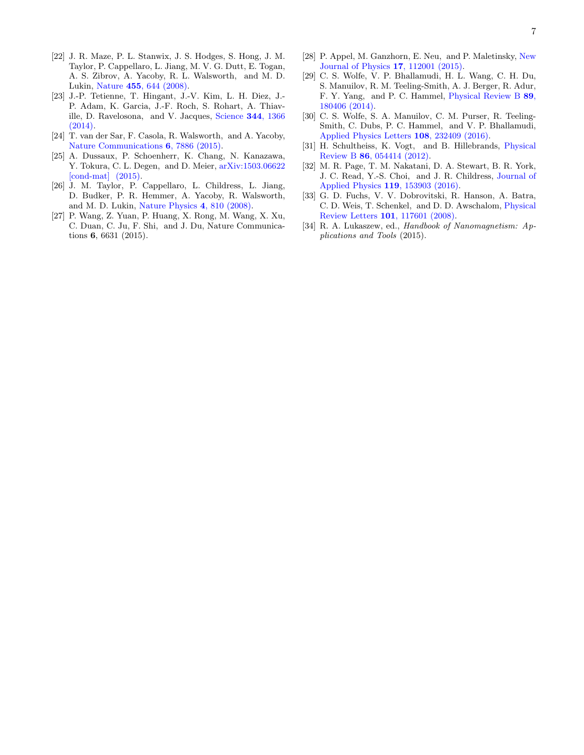- [22] J. R. Maze, P. L. Stanwix, J. S. Hodges, S. Hong, J. M. Taylor, P. Cappellaro, L. Jiang, M. V. G. Dutt, E. Togan, A. S. Zibrov, A. Yacoby, R. L. Walsworth, and M. D. Lukin, Nature 455, 644 (2008).
- [23] J.-P. Tetienne, T. Hingant, J.-V. Kim, L. H. Diez, J.- P. Adam, K. Garcia, J.-F. Roch, S. Rohart, A. Thiaville, D. Ravelosona, and V. Jacques, Science 344, 1366 (2014).
- [24] T. van der Sar, F. Casola, R. Walsworth, and A. Yacoby, Nature Communications 6, 7886 (2015).
- [25] A. Dussaux, P. Schoenherr, K. Chang, N. Kanazawa, Y. Tokura, C. L. Degen, and D. Meier, arXiv:1503.06622 [cond-mat] (2015).
- [26] J. M. Taylor, P. Cappellaro, L. Childress, L. Jiang, D. Budker, P. R. Hemmer, A. Yacoby, R. Walsworth, and M. D. Lukin, Nature Physics 4, 810 (2008).
- [27] P. Wang, Z. Yuan, P. Huang, X. Rong, M. Wang, X. Xu, C. Duan, C. Ju, F. Shi, and J. Du, Nature Communications 6, 6631 (2015).
- [28] P. Appel, M. Ganzhorn, E. Neu, and P. Maletinsky, New Journal of Physics 17, 112001 (2015).
- [29] C. S. Wolfe, V. P. Bhallamudi, H. L. Wang, C. H. Du, S. Manuilov, R. M. Teeling-Smith, A. J. Berger, R. Adur, F. Y. Yang, and P. C. Hammel, Physical Review B 89, 180406 (2014).
- [30] C. S. Wolfe, S. A. Manuilov, C. M. Purser, R. Teeling-Smith, C. Dubs, P. C. Hammel, and V. P. Bhallamudi, Applied Physics Letters 108, 232409 (2016).
- [31] H. Schultheiss, K. Vogt, and B. Hillebrands, Physical Review B 86, 054414 (2012).
- [32] M. R. Page, T. M. Nakatani, D. A. Stewart, B. R. York, J. C. Read, Y.-S. Choi, and J. R. Childress, Journal of Applied Physics 119, 153903 (2016).
- [33] G. D. Fuchs, V. V. Dobrovitski, R. Hanson, A. Batra, C. D. Weis, T. Schenkel, and D. D. Awschalom, Physical Review Letters 101, 117601 (2008).
- [34] R. A. Lukaszew, ed., Handbook of Nanomagnetism: Applications and Tools (2015).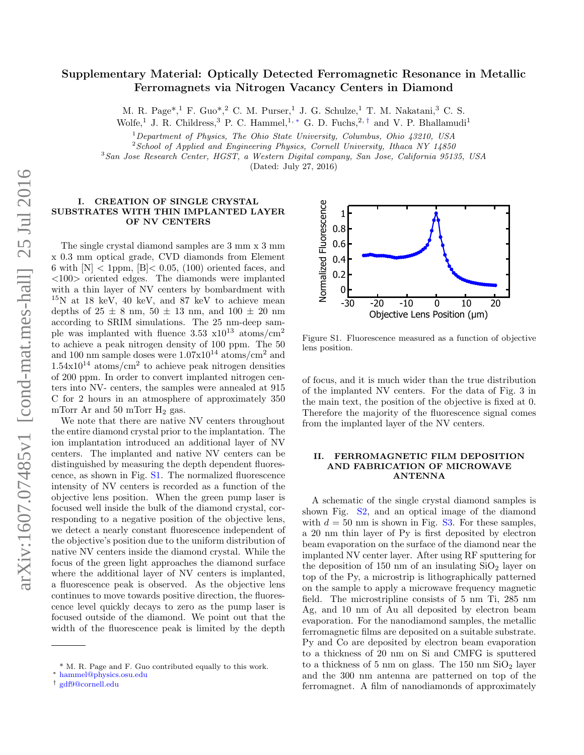# Supplementary Material: Optically Detected Ferromagnetic Resonance in Metallic Ferromagnets via Nitrogen Vacancy Centers in Diamond

M. R. Page\*, <sup>1</sup> F. Guo\*, <sup>2</sup> C. M. Purser, <sup>1</sup> J. G. Schulze, <sup>1</sup> T. M. Nakatani, <sup>3</sup> C. S. Wolfe,<sup>1</sup> J. R. Childress,<sup>3</sup> P. C. Hammel,<sup>1,\*</sup> G. D. Fuchs,<sup>2,†</sup> and V. P. Bhallamudi<sup>1</sup>

 $1$ Department of Physics, The Ohio State University, Columbus, Ohio 43210, USA

 $2^{2}$ School of Applied and Engineering Physics, Cornell University, Ithaca NY 14850

<sup>3</sup>San Jose Research Center, HGST, a Western Digital company, San Jose, California 95135, USA

(Dated: July 27, 2016)

## I. CREATION OF SINGLE CRYSTAL SUBSTRATES WITH THIN IMPLANTED LAYER OF NV CENTERS

The single crystal diamond samples are 3 mm x 3 mm x 0.3 mm optical grade, CVD diamonds from Element 6 with  $[N] < 1$ ppm,  $[B] < 0.05$ , (100) oriented faces, and <100> oriented edges. The diamonds were implanted with a thin layer of NV centers by bombardment with  $15N$  at 18 keV, 40 keV, and 87 keV to achieve mean depths of  $25 \pm 8$  nm,  $50 \pm 13$  nm, and  $100 \pm 20$  nm according to SRIM simulations. The 25 nm-deep sample was implanted with fluence  $3.53 \times 10^{13}$  atoms/cm<sup>2</sup> to achieve a peak nitrogen density of 100 ppm. The 50 and 100 nm sample doses were  $1.07 \times 10^{14}$  atoms/cm<sup>2</sup> and  $1.54 \times 10^{14}$  atoms/cm<sup>2</sup> to achieve peak nitrogen densities of 200 ppm. In order to convert implanted nitrogen centers into NV- centers, the samples were annealed at 915 C for 2 hours in an atmosphere of approximately 350 mTorr Ar and 50 mTorr  $H_2$  gas.

We note that there are native NV centers throughout the entire diamond crystal prior to the implantation. The ion implantation introduced an additional layer of NV centers. The implanted and native NV centers can be distinguished by measuring the depth dependent fluorescence, as shown in Fig. S1. The normalized fluorescence intensity of NV centers is recorded as a function of the objective lens position. When the green pump laser is focused well inside the bulk of the diamond crystal, corresponding to a negative position of the objective lens, we detect a nearly constant fluorescence independent of the objective's position due to the uniform distribution of native NV centers inside the diamond crystal. While the focus of the green light approaches the diamond surface where the additional layer of NV centers is implanted, a fluorescence peak is observed. As the objective lens continues to move towards positive direction, the fluorescence level quickly decays to zero as the pump laser is focused outside of the diamond. We point out that the width of the fluorescence peak is limited by the depth



Figure S1. Fluorescence measured as a function of objective lens position.

of focus, and it is much wider than the true distribution of the implanted NV centers. For the data of Fig. 3 in the main text, the position of the objective is fixed at 0. Therefore the majority of the fluorescence signal comes from the implanted layer of the NV centers.

## II. FERROMAGNETIC FILM DEPOSITION AND FABRICATION OF MICROWAVE ANTENNA

A schematic of the single crystal diamond samples is shown Fig. S2, and an optical image of the diamond with  $d = 50$  nm is shown in Fig. S3. For these samples, a 20 nm thin layer of Py is first deposited by electron beam evaporation on the surface of the diamond near the implanted NV center layer. After using RF sputtering for the deposition of 150 nm of an insulating  $SiO<sub>2</sub>$  layer on top of the Py, a microstrip is lithographically patterned on the sample to apply a microwave frequency magnetic field. The microstripline consists of 5 nm Ti, 285 nm Ag, and 10 nm of Au all deposited by electron beam evaporation. For the nanodiamond samples, the metallic ferromagnetic films are deposited on a suitable substrate. Py and Co are deposited by electron beam evaporation to a thickness of 20 nm on Si and CMFG is sputtered to a thickness of 5 nm on glass. The  $150 \text{ nm }$  SiO<sub>2</sub> layer and the 300 nm antenna are patterned on top of the ferromagnet. A film of nanodiamonds of approximately

<sup>\*</sup> M. R. Page and F. Guo contributed equally to this work.

<sup>∗</sup> hammel@physics.osu.edu

<sup>†</sup> gdf9@cornell.edu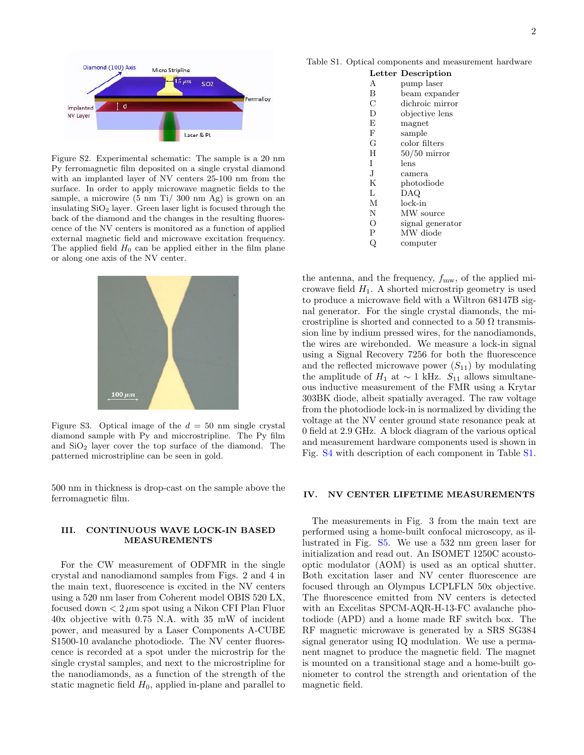

Figure S2. Experimental schematic: The sample is a 20 nm Py ferromagnetic film deposited on a single crystal diamond with an implanted layer of NV centers 25-100 nm from the surface. In order to apply microwave magnetic fields to the sample, a microwire (5 nm Ti/ 300 nm Ag) is grown on an insulating  $SiO<sub>2</sub>$  layer. Green laser light is focused through the back of the diamond and the changes in the resulting fluorescence of the NV centers is monitored as a function of applied external magnetic field and microwave excitation frequency. The applied field  $H_0$  can be applied either in the film plane or along one axis of the NV center.



Figure S3. Optical image of the  $d = 50$  nm single crystal diamond sample with Py and miccrostripline. The Py film and  $SiO<sub>2</sub>$  layer cover the top surface of the diamond. The patterned microstripline can be seen in gold.

500 nm in thickness is drop-cast on the sample above the ferromagnetic film.

### III. CONTINUOUS WAVE LOCK-IN BASED MEASUREMENTS

For the CW measurement of ODFMR in the single crystal and nanodiamond samples from Figs. 2 and 4 in the main text, fluorescence is excited in the NV centers using a 520 nm laser from Coherent model OBIS 520 LX, focused down  $\lt 2 \mu m$  spot using a Nikon CFI Plan Fluor 40x objective with 0.75 N.A. with 35 mW of incident power, and measured by a Laser Components A-CUBE S1500-10 avalanche photodiode. The NV center fluorescence is recorded at a spot under the microstrip for the single crystal samples, and next to the microstripline for the nanodiamonds, as a function of the strength of the static magnetic field  $H_0$ , applied in-plane and parallel to

Table S1. Optical components and measurement hardware

|              | Letter Description |
|--------------|--------------------|
| A            | pump laser         |
| B            | beam expander      |
| $\rm C$      | dichroic mirror    |
| D            | objective lens     |
| E            | magnet             |
| $_{\rm F}$   | sample             |
| G            | color filters      |
| H            | $50/50$ mirror     |
| T            | lens               |
| J.           | camera             |
| K            | photodiode         |
| L            | DAQ                |
| М            | $lock-in$          |
| N            | MW source          |
| О            | signal generator   |
| $\mathsf{P}$ | MW diode           |
| Q            | computer           |

the antenna, and the frequency,  $f_{\text{mw}}$ , of the applied microwave field  $H_1$ . A shorted microstrip geometry is used to produce a microwave field with a Wiltron 68147B signal generator. For the single crystal diamonds, the microstripline is shorted and connected to a 50  $\Omega$  transmission line by indium pressed wires, for the nanodiamonds, the wires are wirebonded. We measure a lock-in signal using a Signal Recovery 7256 for both the fluorescence and the reflected microwave power  $(S_{11})$  by modulating the amplitude of  $H_1$  at ~ 1 kHz.  $S_{11}$  allows simultaneous inductive measurement of the FMR using a Krytar 303BK diode, albeit spatially averaged. The raw voltage from the photodiode lock-in is normalized by dividing the voltage at the NV center ground state resonance peak at 0 field at 2.9 GHz. A block diagram of the various optical and measurement hardware components used is shown in Fig. S4 with description of each component in Table S1.

#### IV. NV CENTER LIFETIME MEASUREMENTS

The measurements in Fig. 3 from the main text are performed using a home-built confocal microscopy, as illustrated in Fig. S5. We use a 532 nm green laser for initialization and read out. An ISOMET 1250C acoustooptic modulator (AOM) is used as an optical shutter. Both excitation laser and NV center fluorescence are focused through an Olympus LCPLFLN 50x objective. The fluorescence emitted from NV centers is detected with an Excelitas SPCM-AQR-H-13-FC avalanche photodiode (APD) and a home made RF switch box. The RF magnetic microwave is generated by a SRS SG384 signal generator using IQ modulation. We use a permanent magnet to produce the magnetic field. The magnet is mounted on a transitional stage and a home-built goniometer to control the strength and orientation of the magnetic field.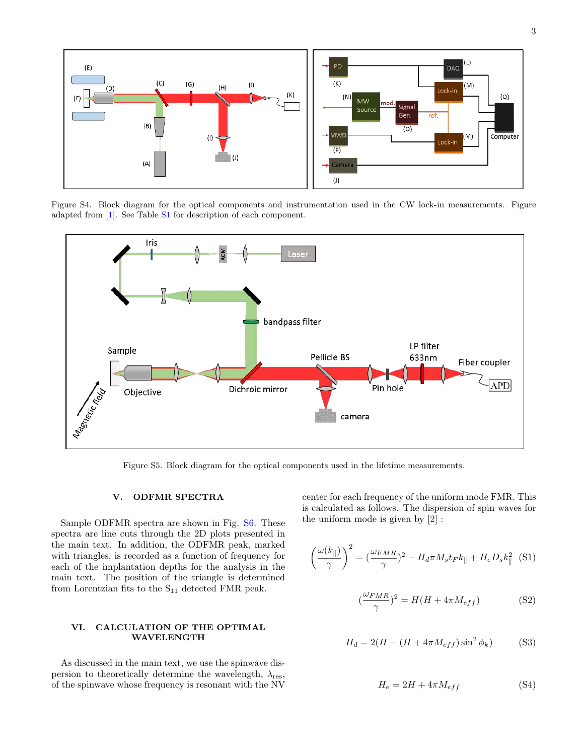

Figure S4. Block diagram for the optical components and instrumentation used in the CW lock-in measurements. Figure adapted from [1]. See Table S1 for description of each component.



Figure S5. Block diagram for the optical components used in the lifetime measurements.

#### V. ODFMR SPECTRA

Sample ODFMR spectra are shown in Fig. S6. These spectra are line cuts through the 2D plots presented in the main text. In addition, the ODFMR peak, marked with triangles, is recorded as a function of frequency for each of the implantation depths for the analysis in the main text. The position of the triangle is determined from Lorentzian fits to the  $S_{11}$  detected FMR peak.

# VI. CALCULATION OF THE OPTIMAL WAVELENGTH

As discussed in the main text, we use the spinwave dispersion to theoretically determine the wavelength,  $\lambda_{\text{res}}$ , of the spinwave whose frequency is resonant with the NV

center for each frequency of the uniform mode FMR. This is calculated as follows. The dispersion of spin waves for the uniform mode is given by [2] :

$$
\left(\frac{\omega(k_{\parallel})}{\gamma}\right)^2 = \left(\frac{\omega_{FMR}}{\gamma}\right)^2 - H_d \pi M_s t_F k_{\parallel} + H_e D_s k_{\parallel}^2
$$
 (S1)

$$
\left(\frac{\omega_{FMR}}{\gamma}\right)^2 = H(H + 4\pi M_{eff})\tag{S2}
$$

$$
H_d = 2(H - (H + 4\pi M_{eff})\sin^2 \phi_k)
$$
 (S3)

$$
H_e = 2H + 4\pi M_{eff} \tag{S4}
$$